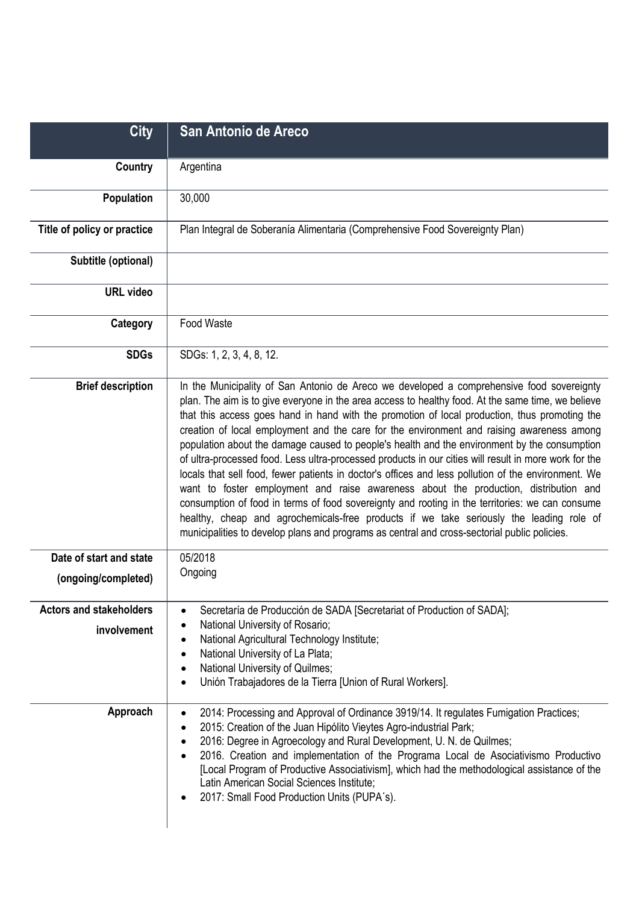| <b>City</b>                                   | San Antonio de Areco                                                                                                                                                                                                                                                                                                                                                                                                                                                                                                                                                                                                                                                                                                                                                                                                                                                                                                                                                                                                                                                                                |
|-----------------------------------------------|-----------------------------------------------------------------------------------------------------------------------------------------------------------------------------------------------------------------------------------------------------------------------------------------------------------------------------------------------------------------------------------------------------------------------------------------------------------------------------------------------------------------------------------------------------------------------------------------------------------------------------------------------------------------------------------------------------------------------------------------------------------------------------------------------------------------------------------------------------------------------------------------------------------------------------------------------------------------------------------------------------------------------------------------------------------------------------------------------------|
| Country                                       | Argentina                                                                                                                                                                                                                                                                                                                                                                                                                                                                                                                                                                                                                                                                                                                                                                                                                                                                                                                                                                                                                                                                                           |
| <b>Population</b>                             | 30,000                                                                                                                                                                                                                                                                                                                                                                                                                                                                                                                                                                                                                                                                                                                                                                                                                                                                                                                                                                                                                                                                                              |
| Title of policy or practice                   | Plan Integral de Soberanía Alimentaria (Comprehensive Food Sovereignty Plan)                                                                                                                                                                                                                                                                                                                                                                                                                                                                                                                                                                                                                                                                                                                                                                                                                                                                                                                                                                                                                        |
| Subtitle (optional)                           |                                                                                                                                                                                                                                                                                                                                                                                                                                                                                                                                                                                                                                                                                                                                                                                                                                                                                                                                                                                                                                                                                                     |
| <b>URL</b> video                              |                                                                                                                                                                                                                                                                                                                                                                                                                                                                                                                                                                                                                                                                                                                                                                                                                                                                                                                                                                                                                                                                                                     |
| Category                                      | Food Waste                                                                                                                                                                                                                                                                                                                                                                                                                                                                                                                                                                                                                                                                                                                                                                                                                                                                                                                                                                                                                                                                                          |
| <b>SDGs</b>                                   | SDGs: 1, 2, 3, 4, 8, 12.                                                                                                                                                                                                                                                                                                                                                                                                                                                                                                                                                                                                                                                                                                                                                                                                                                                                                                                                                                                                                                                                            |
| <b>Brief description</b>                      | In the Municipality of San Antonio de Areco we developed a comprehensive food sovereignty<br>plan. The aim is to give everyone in the area access to healthy food. At the same time, we believe<br>that this access goes hand in hand with the promotion of local production, thus promoting the<br>creation of local employment and the care for the environment and raising awareness among<br>population about the damage caused to people's health and the environment by the consumption<br>of ultra-processed food. Less ultra-processed products in our cities will result in more work for the<br>locals that sell food, fewer patients in doctor's offices and less pollution of the environment. We<br>want to foster employment and raise awareness about the production, distribution and<br>consumption of food in terms of food sovereignty and rooting in the territories: we can consume<br>healthy, cheap and agrochemicals-free products if we take seriously the leading role of<br>municipalities to develop plans and programs as central and cross-sectorial public policies. |
| Date of start and state                       | 05/2018<br>Ongoing                                                                                                                                                                                                                                                                                                                                                                                                                                                                                                                                                                                                                                                                                                                                                                                                                                                                                                                                                                                                                                                                                  |
| (ongoing/completed)                           |                                                                                                                                                                                                                                                                                                                                                                                                                                                                                                                                                                                                                                                                                                                                                                                                                                                                                                                                                                                                                                                                                                     |
| <b>Actors and stakeholders</b><br>involvement | Secretaría de Producción de SADA [Secretariat of Production of SADA];<br>National University of Rosario;<br>National Agricultural Technology Institute;<br>National University of La Plata;<br>National University of Quilmes;<br>Unión Trabajadores de la Tierra [Union of Rural Workers].                                                                                                                                                                                                                                                                                                                                                                                                                                                                                                                                                                                                                                                                                                                                                                                                         |
| Approach                                      | 2014: Processing and Approval of Ordinance 3919/14. It regulates Fumigation Practices;<br>2015: Creation of the Juan Hipólito Vieytes Agro-industrial Park;<br>٠<br>2016: Degree in Agroecology and Rural Development, U. N. de Quilmes;<br>$\bullet$<br>2016. Creation and implementation of the Programa Local de Asociativismo Productivo<br>[Local Program of Productive Associativism], which had the methodological assistance of the<br>Latin American Social Sciences Institute;<br>2017: Small Food Production Units (PUPA's).                                                                                                                                                                                                                                                                                                                                                                                                                                                                                                                                                             |